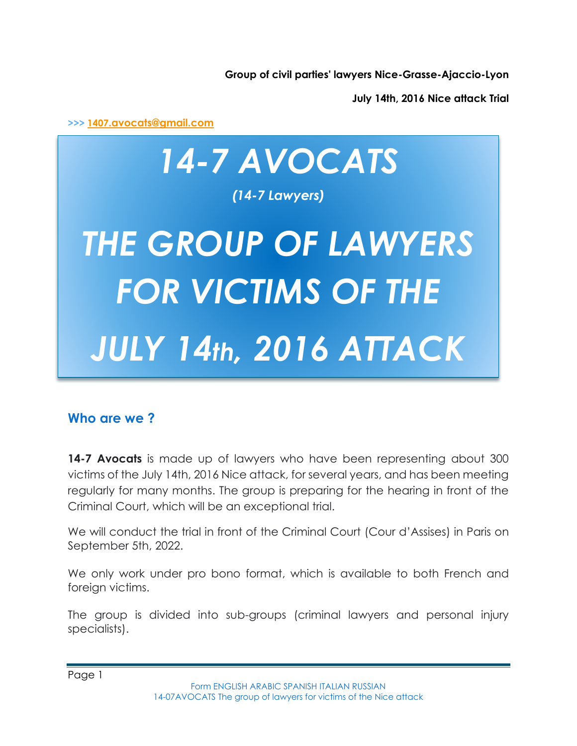**Group of civil parties' lawyers Nice-Grasse-Ajaccio-Lyon**

**July 14th, 2016 Nice attack Trial**

**>>> [1407](mailto:1407.avocats@gmail.com)[.avocats@gmail.com](mailto:1407.avocats@gmail.com)**

# *14-7 AVOCATS (14-7 Lawyers) THE GROUP OF LAWYERS FOR VICTIMS OF THE JULY 14th, 2016 ATTACK*

### **Who are we ?**

**14-7 Avocats** is made up of lawyers who have been representing about 300 victims of the July 14th, 2016 Nice attack, for several years, and has been meeting regularly for many months. The group is preparing for the hearing in front of the Criminal Court, which will be an exceptional trial.

We will conduct the trial in front of the Criminal Court (Cour d'Assises) in Paris on September 5th, 2022.

We only work under pro bono format, which is available to both French and foreign victims.

The group is divided into sub-groups (criminal lawyers and personal injury specialists).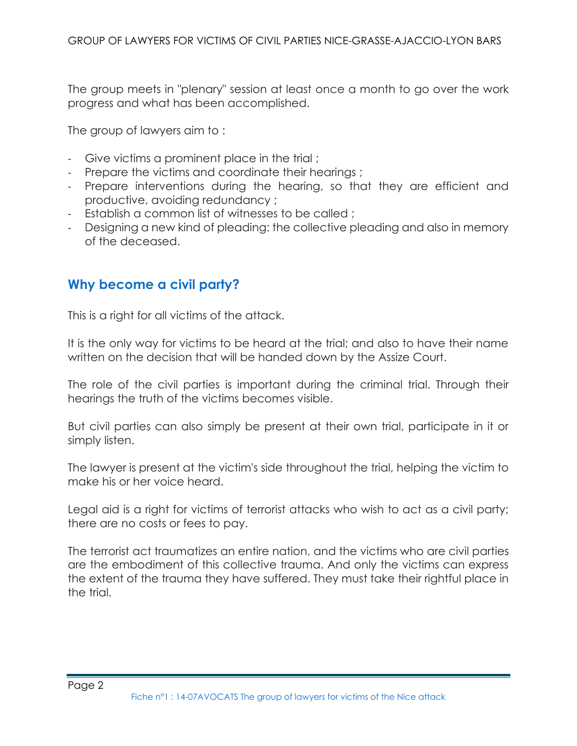The group meets in "plenary" session at least once a month to go over the work progress and what has been accomplished.

The group of lawyers aim to :

- Give victims a prominent place in the trial;
- Prepare the victims and coordinate their hearings ;
- Prepare interventions during the hearing, so that they are efficient and productive, avoiding redundancy ;
- Establish a common list of witnesses to be called ;
- Designing a new kind of pleading: the collective pleading and also in memory of the deceased.

### **Why become a civil party?**

This is a right for all victims of the attack.

It is the only way for victims to be heard at the trial; and also to have their name written on the decision that will be handed down by the Assize Court.

The role of the civil parties is important during the criminal trial. Through their hearings the truth of the victims becomes visible.

But civil parties can also simply be present at their own trial, participate in it or simply listen.

The lawyer is present at the victim's side throughout the trial, helping the victim to make his or her voice heard.

Legal aid is a right for victims of terrorist attacks who wish to act as a civil party; there are no costs or fees to pay.

The terrorist act traumatizes an entire nation, and the victims who are civil parties are the embodiment of this collective trauma. And only the victims can express the extent of the trauma they have suffered. They must take their rightful place in the trial.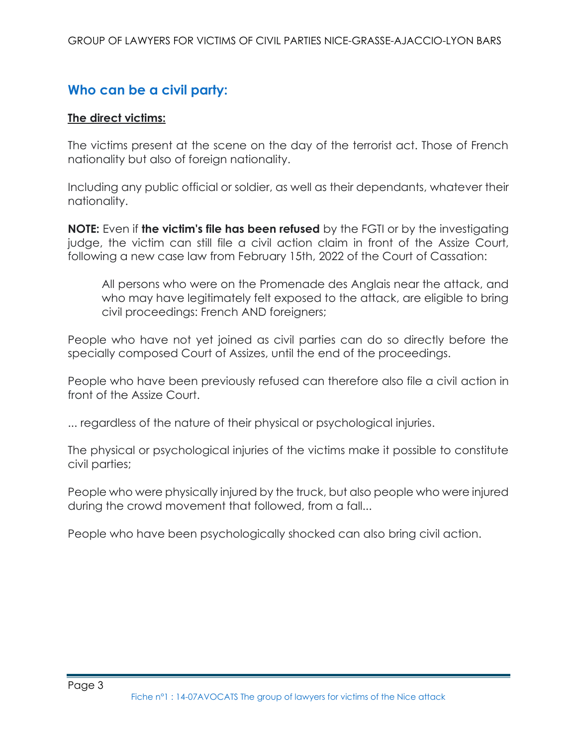## **Who can be a civil party:**

#### **The direct victims:**

The victims present at the scene on the day of the terrorist act. Those of French nationality but also of foreign nationality.

Including any public official or soldier, as well as their dependants, whatever their nationality.

**NOTE:** Even if **the victim's file has been refused** by the FGTI or by the investigating judge, the victim can still file a civil action claim in front of the Assize Court, following a new case law from February 15th, 2022 of the Court of Cassation:

All persons who were on the Promenade des Anglais near the attack, and who may have legitimately felt exposed to the attack, are eligible to bring civil proceedings: French AND foreigners;

People who have not yet joined as civil parties can do so directly before the specially composed Court of Assizes, until the end of the proceedings.

People who have been previously refused can therefore also file a civil action in front of the Assize Court.

... regardless of the nature of their physical or psychological injuries.

The physical or psychological injuries of the victims make it possible to constitute civil parties;

People who were physically injured by the truck, but also people who were injured during the crowd movement that followed, from a fall...

People who have been psychologically shocked can also bring civil action.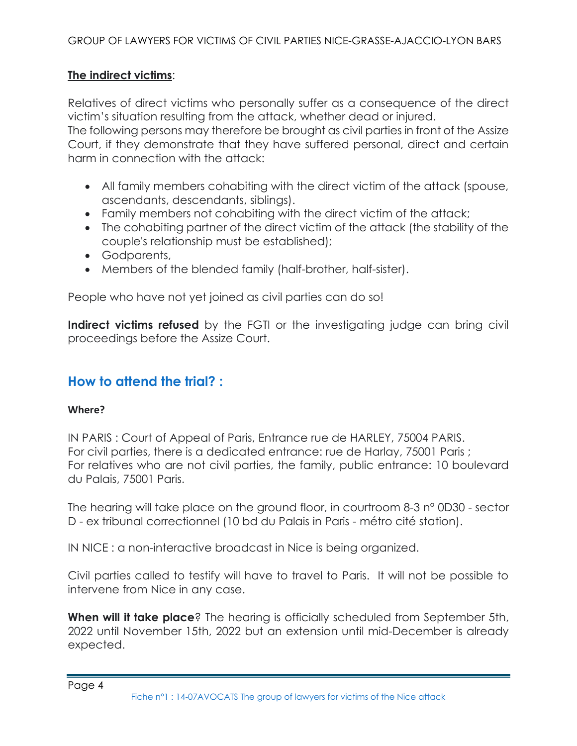#### **The indirect victims**:

Relatives of direct victims who personally suffer as a consequence of the direct victim's situation resulting from the attack, whether dead or injured.

The following persons may therefore be brought as civil parties in front of the Assize Court, if they demonstrate that they have suffered personal, direct and certain harm in connection with the attack:

- All family members cohabiting with the direct victim of the attack (spouse, ascendants, descendants, siblings).
- Family members not cohabiting with the direct victim of the attack;
- The cohabiting partner of the direct victim of the attack (the stability of the couple's relationship must be established);
- Godparents,
- Members of the blended family (half-brother, half-sister).

People who have not yet joined as civil parties can do so!

**Indirect victims refused** by the FGTI or the investigating judge can bring civil proceedings before the Assize Court.

## **How to attend the trial? :**

#### **Where?**

IN PARIS : Court of Appeal of Paris, Entrance rue de HARLEY, 75004 PARIS. For civil parties, there is a dedicated entrance: rue de Harlay, 75001 Paris ; For relatives who are not civil parties, the family, public entrance: 10 boulevard du Palais, 75001 Paris.

The hearing will take place on the ground floor, in courtroom 8-3 n° 0D30 - sector D - ex tribunal correctionnel (10 bd du Palais in Paris - métro cité station).

IN NICE : a non-interactive broadcast in Nice is being organized.

Civil parties called to testify will have to travel to Paris. It will not be possible to intervene from Nice in any case.

**When will it take place**? The hearing is officially scheduled from September 5th, 2022 until November 15th, 2022 but an extension until mid-December is already expected.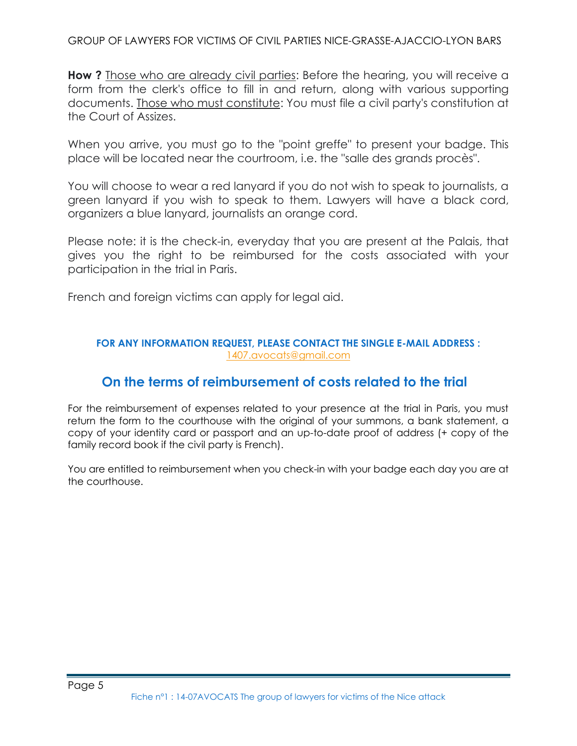GROUP OF LAWYERS FOR VICTIMS OF CIVIL PARTIES NICE-GRASSE-AJACCIO-LYON BARS

**How ?** Those who are already civil parties: Before the hearing, you will receive a form from the clerk's office to fill in and return, along with various supporting documents. Those who must constitute: You must file a civil party's constitution at the Court of Assizes.

When you arrive, you must go to the "point greffe" to present your badge. This place will be located near the courtroom, i.e. the "salle des grands procès".

You will choose to wear a red lanyard if you do not wish to speak to journalists, a green lanyard if you wish to speak to them. Lawyers will have a black cord, organizers a blue lanyard, journalists an orange cord.

Please note: it is the check-in, everyday that you are present at the Palais, that gives you the right to be reimbursed for the costs associated with your participation in the trial in Paris.

French and foreign victims can apply for legal aid.

#### **FOR ANY INFORMATION REQUEST, PLEASE CONTACT THE SINGLE E-MAIL ADDRESS :**  [1407.avocats@gmail.com](mailto:1407.avocats@gmail.com)

## **On the terms of reimbursement of costs related to the trial**

For the reimbursement of expenses related to your presence at the trial in Paris, you must return the form to the courthouse with the original of your summons, a bank statement, a copy of your identity card or passport and an up-to-date proof of address (+ copy of the family record book if the civil party is French).

You are entitled to reimbursement when you check-in with your badge each day you are at the courthouse.